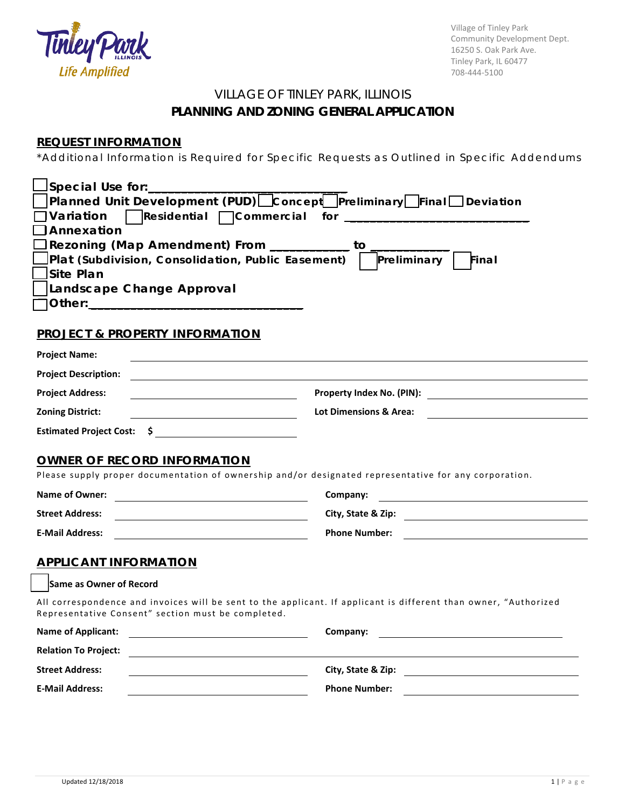

Village of Tinley Park Community Development Dept. 16250 S. Oak Park Ave. Tinley Park, IL 60477 708-444-5100

# VILLAGE OF TINLEY PARK, ILLINOIS **PLANNING AND ZONING GENERAL APPLICATION**

## **REQUEST INFORMATION**

\*Additional Information is Required for Specific Requests as Outlined in Specific Addendums

| Special Use for:______                                                                                                                                                 |                                   |
|------------------------------------------------------------------------------------------------------------------------------------------------------------------------|-----------------------------------|
| Planned Unit Development (PUD)□ Concept□ Preliminary□ Final□ Deviation                                                                                                 |                                   |
| Variation<br>$\vert$ Residential $\Box$ Commercial for $\Box$                                                                                                          |                                   |
| lAnnexation<br>Rezoning (Map Amendment) From ___________ to                                                                                                            |                                   |
| Plat (Subdivision, Consolidation, Public Easement)                                                                                                                     | Preliminary<br>Final              |
| Site Plan                                                                                                                                                              |                                   |
| Landscape Change Approval                                                                                                                                              |                                   |
|                                                                                                                                                                        |                                   |
|                                                                                                                                                                        |                                   |
| <b>PROJECT &amp; PROPERTY INFORMATION</b>                                                                                                                              |                                   |
| <b>Project Name:</b>                                                                                                                                                   |                                   |
| <b>Project Description:</b>                                                                                                                                            |                                   |
| <b>Project Address:</b>                                                                                                                                                |                                   |
| <b>Zoning District:</b>                                                                                                                                                | <b>Lot Dimensions &amp; Area:</b> |
| Estimated Project Cost: \$                                                                                                                                             |                                   |
|                                                                                                                                                                        |                                   |
| <b>OWNER OF RECORD INFORMATION</b>                                                                                                                                     |                                   |
| Please supply proper documentation of ownership and/or designated representative for any corporation.                                                                  |                                   |
| <b>Name of Owner:</b>                                                                                                                                                  | Company:                          |
| <b>Street Address:</b>                                                                                                                                                 | City, State & Zip: 2008           |
| <b>E-Mail Address:</b>                                                                                                                                                 | <b>Phone Number:</b>              |
|                                                                                                                                                                        |                                   |
| <b>APPLICANT INFORMATION</b>                                                                                                                                           |                                   |
| Same as Owner of Record                                                                                                                                                |                                   |
| All correspondence and invoices will be sent to the applicant. If applicant is different than owner, "Authorized<br>Representative Consent" section must be completed. |                                   |
| <b>Name of Applicant:</b>                                                                                                                                              | Company:                          |
| <b>Relation To Project:</b>                                                                                                                                            |                                   |
| <b>Street Address:</b>                                                                                                                                                 | City, State & Zip:                |
| <b>E-Mail Address:</b>                                                                                                                                                 | <b>Phone Number:</b>              |